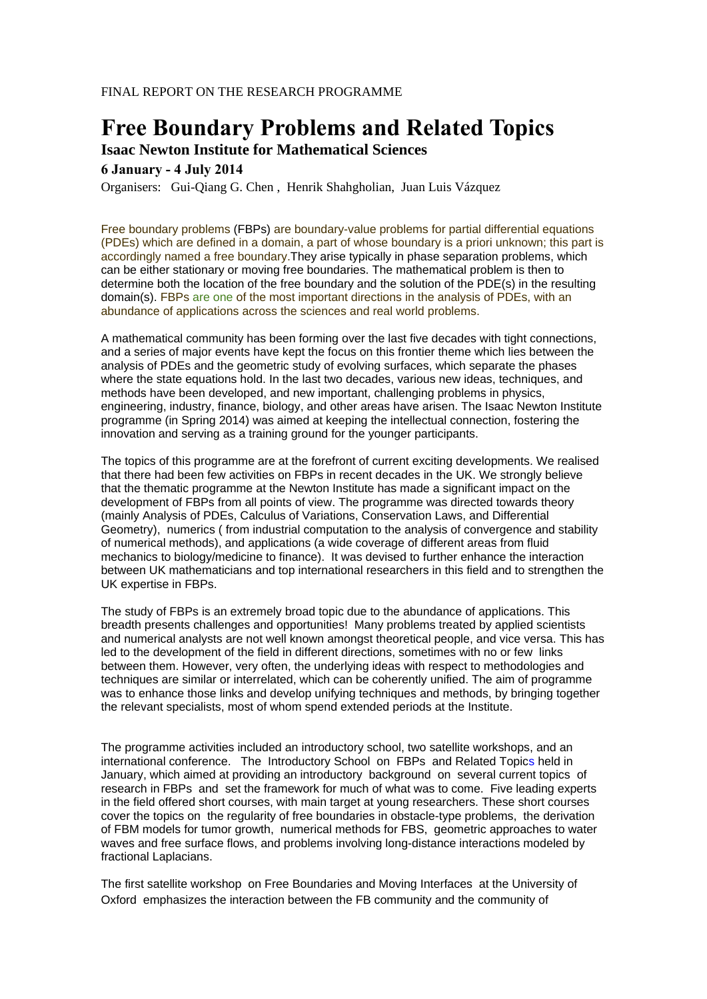## **Free Boundary Problems and Related Topics**

## **Isaac Newton Institute for Mathematical Sciences**

## **6 January - 4 July 2014**

Organisers: Gui-Qiang G. Chen , Henrik Shahgholian, Juan Luis Vázquez

Free boundary problems (FBPs) are boundary-value problems for partial differential equations (PDEs) which are defined in a domain, a part of whose boundary is a priori unknown; this part is accordingly named a free boundary.They arise typically in phase separation problems, which can be either stationary or moving free boundaries. The mathematical problem is then to determine both the location of the free boundary and the solution of the PDE(s) in the resulting domain(s). FBPs are one of the most important directions in the analysis of PDEs, with an abundance of applications across the sciences and real world problems.

A mathematical community has been forming over the last five decades with tight connections, and a series of major events have kept the focus on this frontier theme which lies between the analysis of PDEs and the geometric study of evolving surfaces, which separate the phases where the state equations hold. In the last two decades, various new ideas, techniques, and methods have been developed, and new important, challenging problems in physics, engineering, industry, finance, biology, and other areas have arisen. The Isaac Newton Institute programme (in Spring 2014) was aimed at keeping the intellectual connection, fostering the innovation and serving as a training ground for the younger participants.

The topics of this programme are at the forefront of current exciting developments. We realised that there had been few activities on FBPs in recent decades in the UK. We strongly believe that the thematic programme at the Newton Institute has made a significant impact on the development of FBPs from all points of view. The programme was directed towards theory (mainly Analysis of PDEs, Calculus of Variations, Conservation Laws, and Differential Geometry), numerics ( from industrial computation to the analysis of convergence and stability of numerical methods), and applications (a wide coverage of different areas from fluid mechanics to biology/medicine to finance). It was devised to further enhance the interaction between UK mathematicians and top international researchers in this field and to strengthen the UK expertise in FBPs.

The study of FBPs is an extremely broad topic due to the abundance of applications. This breadth presents challenges and opportunities! Many problems treated by applied scientists and numerical analysts are not well known amongst theoretical people, and vice versa. This has led to the development of the field in different directions, sometimes with no or few links between them. However, very often, the underlying ideas with respect to methodologies and techniques are similar or interrelated, which can be coherently unified. The aim of programme was to enhance those links and develop unifying techniques and methods, by bringing together the relevant specialists, most of whom spend extended periods at the Institute.

The programme activities included an introductory school, two satellite workshops, and an international conference. The Introductory School on FBPs and Related Topics held in January, which aimed at providing an introductory background on several current topics of research in FBPs and set the framework for much of what was to come. Five leading experts in the field offered short courses, with main target at young researchers. These short courses cover the topics on the regularity of free boundaries in obstacle-type problems, the derivation of FBM models for tumor growth, numerical methods for FBS, geometric approaches to water waves and free surface flows, and problems involving long-distance interactions modeled by fractional Laplacians.

The first satellite workshop on Free Boundaries and Moving Interfaces at the University of Oxford emphasizes the interaction between the FB community and the community of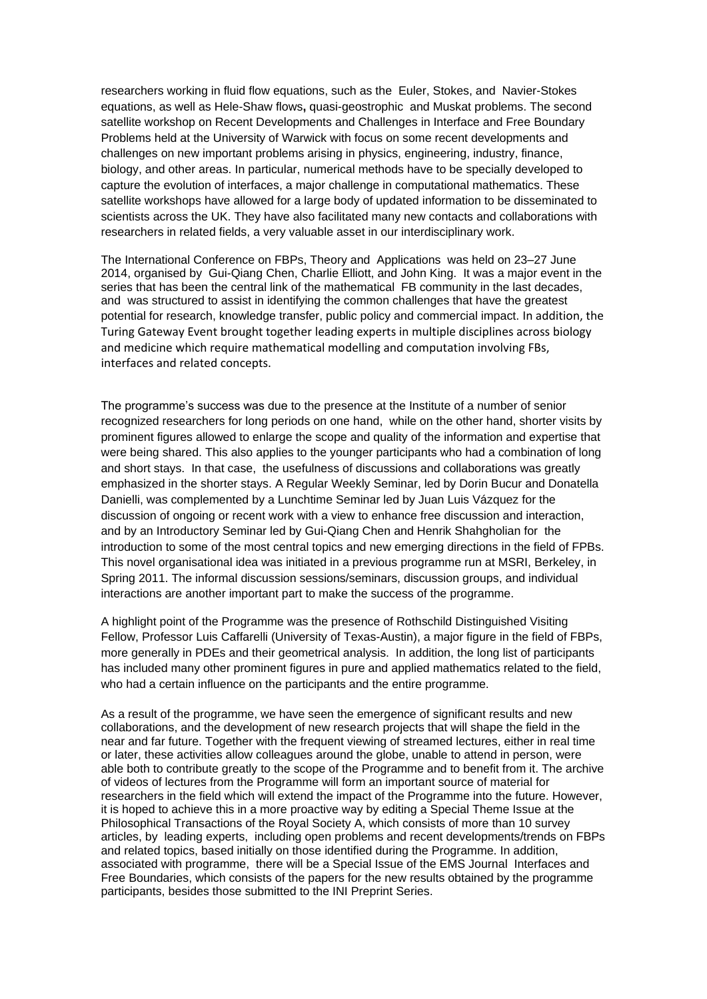researchers working in fluid flow equations, such as the Euler, Stokes, and Navier-Stokes equations, as well as Hele-Shaw flows**,** quasi-geostrophic and Muskat problems. The second satellite workshop on Recent Developments and Challenges in Interface and Free Boundary Problems held at the University of Warwick with focus on some recent developments and challenges on new important problems arising in physics, engineering, industry, finance, biology, and other areas. In particular, numerical methods have to be specially developed to capture the evolution of interfaces, a major challenge in computational mathematics. These satellite workshops have allowed for a large body of updated information to be disseminated to scientists across the UK. They have also facilitated many new contacts and collaborations with researchers in related fields, a very valuable asset in our interdisciplinary work.

The International Conference on FBPs, Theory and Applications was held on 23–27 June 2014, organised by Gui-Qiang Chen, Charlie Elliott, and John King. It was a major event in the series that has been the central link of the mathematical FB community in the last decades, and was structured to assist in identifying the common challenges that have the greatest potential for research, knowledge transfer, public policy and commercial impact. In addition, the Turing Gateway Event brought together leading experts in multiple disciplines across biology and medicine which require mathematical modelling and computation involving FBs, interfaces and related concepts.

The programme's success was due to the presence at the Institute of a number of senior recognized researchers for long periods on one hand, while on the other hand, shorter visits by prominent figures allowed to enlarge the scope and quality of the information and expertise that were being shared. This also applies to the younger participants who had a combination of long and short stays. In that case, the usefulness of discussions and collaborations was greatly emphasized in the shorter stays. A Regular Weekly Seminar, led by Dorin Bucur and Donatella Danielli, was complemented by a Lunchtime Seminar led by Juan Luis Vázquez for the discussion of ongoing or recent work with a view to enhance free discussion and interaction, and by an Introductory Seminar led by Gui-Qiang Chen and Henrik Shahgholian for the introduction to some of the most central topics and new emerging directions in the field of FPBs. This novel organisational idea was initiated in a previous programme run at MSRI, Berkeley, in Spring 2011. The informal discussion sessions/seminars, discussion groups, and individual interactions are another important part to make the success of the programme.

A highlight point of the Programme was the presence of Rothschild Distinguished Visiting Fellow, Professor Luis Caffarelli (University of Texas-Austin), a major figure in the field of FBPs, more generally in PDEs and their geometrical analysis. In addition, the long list of participants has included many other prominent figures in pure and applied mathematics related to the field, who had a certain influence on the participants and the entire programme.

As a result of the programme, we have seen the emergence of significant results and new collaborations, and the development of new research projects that will shape the field in the near and far future. Together with the frequent viewing of streamed lectures, either in real time or later, these activities allow colleagues around the globe, unable to attend in person, were able both to contribute greatly to the scope of the Programme and to benefit from it. The archive of videos of lectures from the Programme will form an important source of material for researchers in the field which will extend the impact of the Programme into the future. However, it is hoped to achieve this in a more proactive way by editing a Special Theme Issue at the Philosophical Transactions of the Royal Society A, which consists of more than 10 survey articles, by leading experts, including open problems and recent developments/trends on FBPs and related topics, based initially on those identified during the Programme. In addition, associated with programme, there will be a Special Issue of the EMS Journal Interfaces and Free Boundaries, which consists of the papers for the new results obtained by the programme participants, besides those submitted to the INI Preprint Series.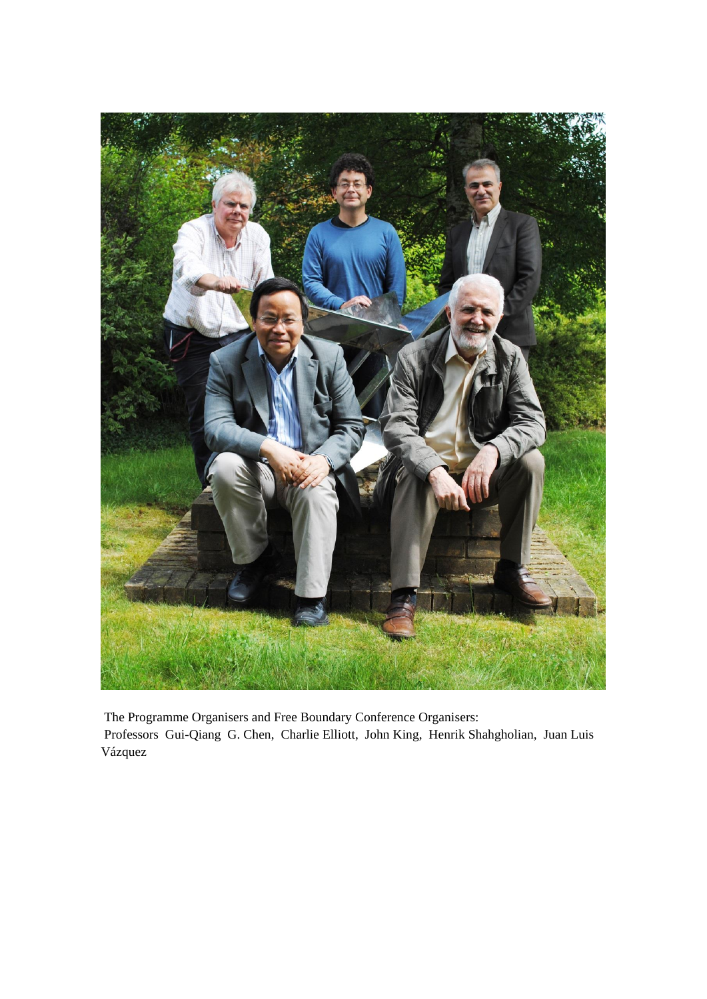

The Programme Organisers and Free Boundary Conference Organisers: Professors Gui-Qiang G. Chen, Charlie Elliott, John King, Henrik Shahgholian, Juan Luis Vázquez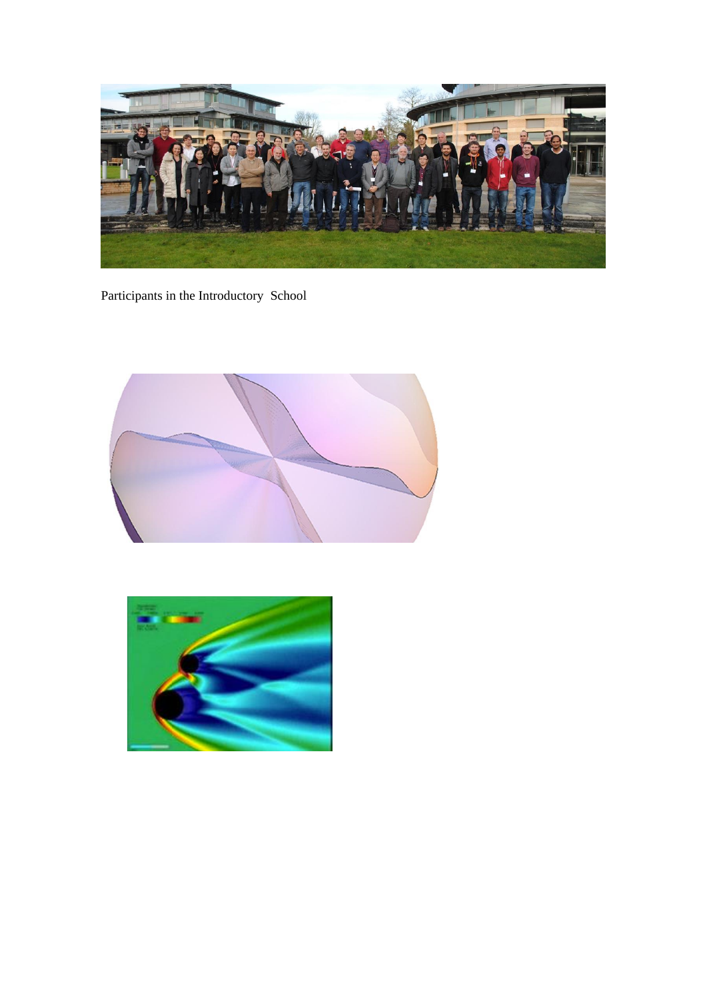

Participants in the Introductory School



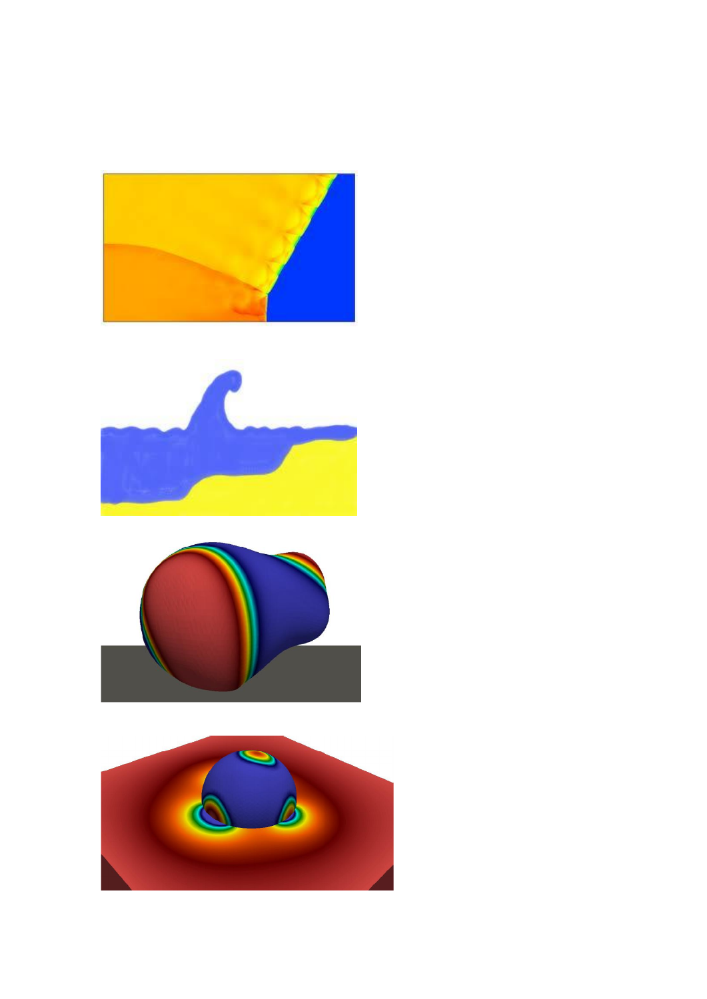